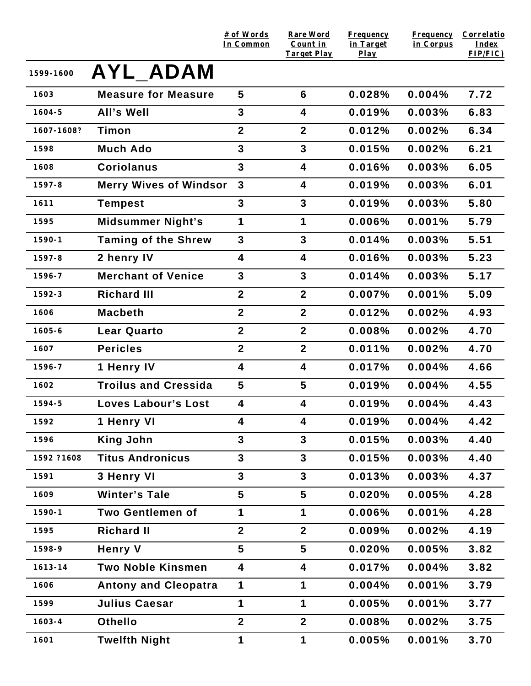|            |                               | # of Words<br>In Common | <b>Rare Word</b><br>Count in<br><b>Target Play</b> | <b>Frequency</b><br>in Target<br>$Play$ | <b>Frequency</b><br>in Corpus | <b>Correlatio</b><br><b>Index</b><br>$FIP/FIC$ ) |
|------------|-------------------------------|-------------------------|----------------------------------------------------|-----------------------------------------|-------------------------------|--------------------------------------------------|
| 1599-1600  | <b>AYL ADAM</b>               |                         |                                                    |                                         |                               |                                                  |
| 1603       | <b>Measure for Measure</b>    | 5                       | 6                                                  | 0.028%                                  | 0.004%                        | 7.72                                             |
| $1604 - 5$ | <b>All's Well</b>             | 3                       | 4                                                  | 0.019%                                  | 0.003%                        | 6.83                                             |
| 1607-1608? | Timon                         | $\mathbf{2}$            | $\mathbf{2}$                                       | 0.012%                                  | 0.002%                        | 6.34                                             |
| 1598       | <b>Much Ado</b>               | 3                       | $\overline{3}$                                     | 0.015%                                  | 0.002%                        | 6.21                                             |
| 1608       | <b>Coriolanus</b>             | 3                       | 4                                                  | 0.016%                                  | 0.003%                        | 6.05                                             |
| $1597 - 8$ | <b>Merry Wives of Windsor</b> | $\mathbf{3}$            | $\overline{\mathbf{4}}$                            | 0.019%                                  | 0.003%                        | 6.01                                             |
| 1611       | <b>Tempest</b>                | 3                       | 3                                                  | 0.019%                                  | 0.003%                        | 5.80                                             |
| 1595       | <b>Midsummer Night's</b>      | 1                       | 1                                                  | 0.006%                                  | 0.001%                        | 5.79                                             |
| $1590 - 1$ | <b>Taming of the Shrew</b>    | 3                       | 3                                                  | 0.014%                                  | 0.003%                        | 5.51                                             |
| $1597 - 8$ | 2 henry IV                    | 4                       | $\overline{\mathbf{4}}$                            | 0.016%                                  | 0.003%                        | 5.23                                             |
| 1596-7     | <b>Merchant of Venice</b>     | $\overline{3}$          | 3                                                  | 0.014%                                  | 0.003%                        | 5.17                                             |
| 1592-3     | <b>Richard III</b>            | $\overline{2}$          | $\overline{2}$                                     | 0.007%                                  | 0.001%                        | 5.09                                             |
| 1606       | <b>Macbeth</b>                | $\overline{2}$          | $\mathbf{2}$                                       | 0.012%                                  | 0.002%                        | 4.93                                             |
| $1605 - 6$ | <b>Lear Quarto</b>            | $\mathbf{2}$            | $\overline{2}$                                     | 0.008%                                  | 0.002%                        | 4.70                                             |
| 1607       | <b>Pericles</b>               | $\boldsymbol{2}$        | $\boldsymbol{2}$                                   | 0.011%                                  | 0.002%                        | 4.70                                             |
| 1596-7     | 1 Henry IV                    | 4                       | $\overline{\mathbf{4}}$                            | 0.017%                                  | 0.004%                        | 4.66                                             |
| 1602       | <b>Troilus and Cressida</b>   | $5\phantom{.0}$         | 5                                                  | 0.019%                                  | 0.004%                        | 4.55                                             |
| 1594-5     | <b>Loves Labour's Lost</b>    | 4                       | $\overline{\mathbf{4}}$                            | 0.019%                                  | 0.004%                        | 4.43                                             |
| 1592       | 1 Henry VI                    | 4                       | 4                                                  | 0.019%                                  | 0.004%                        | 4.42                                             |
| 1596       | <b>King John</b>              | 3                       | 3                                                  | 0.015%                                  | 0.003%                        | 4.40                                             |
| 1592 ?1608 | <b>Titus Andronicus</b>       | 3                       | $\overline{3}$                                     | 0.015%                                  | 0.003%                        | 4.40                                             |
| 1591       | 3 Henry VI                    | 3                       | $\overline{3}$                                     | 0.013%                                  | 0.003%                        | 4.37                                             |
| 1609       | <b>Winter's Tale</b>          | 5                       | 5                                                  | 0.020%                                  | 0.005%                        | 4.28                                             |
| $1590 - 1$ | <b>Two Gentlemen of</b>       | 1                       | 1                                                  | 0.006%                                  | 0.001%                        | 4.28                                             |
| 1595       | <b>Richard II</b>             | $\boldsymbol{2}$        | $\overline{2}$                                     | 0.009%                                  | 0.002%                        | 4.19                                             |
| 1598-9     | <b>Henry V</b>                | 5                       | 5                                                  | 0.020%                                  | 0.005%                        | 3.82                                             |
| 1613-14    | <b>Two Noble Kinsmen</b>      | 4                       | 4                                                  | 0.017%                                  | 0.004%                        | 3.82                                             |
| 1606       | <b>Antony and Cleopatra</b>   | 1                       | 1                                                  | 0.004%                                  | 0.001%                        | 3.79                                             |
| 1599       | <b>Julius Caesar</b>          | 1                       | 1                                                  | 0.005%                                  | 0.001%                        | 3.77                                             |
| $1603 - 4$ | <b>Othello</b>                | $\overline{\mathbf{2}}$ | $\overline{2}$                                     | 0.008%                                  | 0.002%                        | 3.75                                             |
| 1601       | <b>Twelfth Night</b>          | 1                       | 1                                                  | 0.005%                                  | 0.001%                        | 3.70                                             |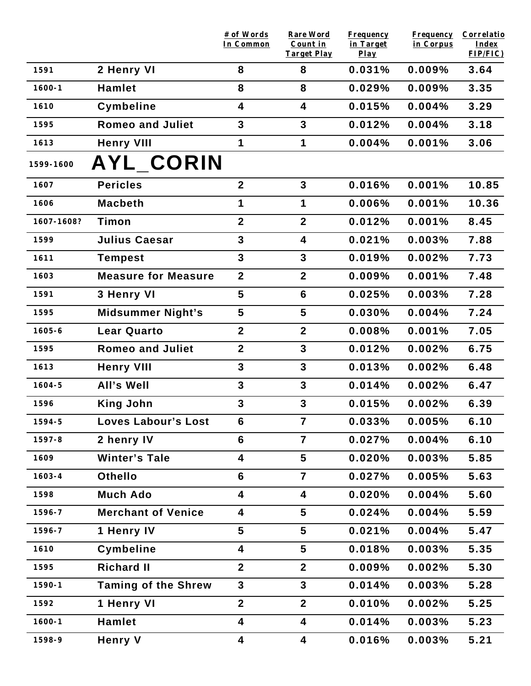|            |                            | # of Words<br>In Common | <b>Rare Word</b><br>Count in<br><b>Target Play</b> | <b>Frequency</b><br>in Target<br>$Play$ | Frequency<br>in Corpus | Correlatio<br>Index<br>FIP/FIC) |
|------------|----------------------------|-------------------------|----------------------------------------------------|-----------------------------------------|------------------------|---------------------------------|
| 1591       | 2 Henry VI                 | 8                       | 8                                                  | 0.031%                                  | 0.009%                 | 3.64                            |
| $1600 - 1$ | <b>Hamlet</b>              | 8                       | 8                                                  | 0.029%                                  | 0.009%                 | 3.35                            |
| 1610       | <b>Cymbeline</b>           | 4                       | 4                                                  | 0.015%                                  | 0.004%                 | 3.29                            |
| 1595       | <b>Romeo and Juliet</b>    | $\mathbf{3}$            | 3                                                  | 0.012%                                  | 0.004%                 | 3.18                            |
| 1613       | <b>Henry VIII</b>          | 1                       | $\mathbf 1$                                        | 0.004%                                  | 0.001%                 | 3.06                            |
| 1599-1600  | <b>AYL_CORIN</b>           |                         |                                                    |                                         |                        |                                 |
| 1607       | <b>Pericles</b>            | $\overline{2}$          | 3                                                  | 0.016%                                  | 0.001%                 | 10.85                           |
| 1606       | <b>Macbeth</b>             | 1                       | 1                                                  | 0.006%                                  | 0.001%                 | 10.36                           |
| 1607-1608? | Timon                      | $\overline{\mathbf{2}}$ | $\overline{\mathbf{2}}$                            | 0.012%                                  | 0.001%                 | 8.45                            |
| 1599       | <b>Julius Caesar</b>       | $\mathbf{3}$            | 4                                                  | 0.021%                                  | 0.003%                 | 7.88                            |
| 1611       | <b>Tempest</b>             | $\mathbf{3}$            | 3                                                  | 0.019%                                  | 0.002%                 | 7.73                            |
| 1603       | <b>Measure for Measure</b> | $\boldsymbol{2}$        | $\mathbf{2}$                                       | 0.009%                                  | 0.001%                 | 7.48                            |
| 1591       | 3 Henry VI                 | 5                       | 6                                                  | 0.025%                                  | 0.003%                 | 7.28                            |
| 1595       | <b>Midsummer Night's</b>   | 5                       | 5                                                  | 0.030%                                  | 0.004%                 | 7.24                            |
| $1605 - 6$ | <b>Lear Quarto</b>         | $\boldsymbol{2}$        | $\overline{2}$                                     | 0.008%                                  | 0.001%                 | 7.05                            |
| 1595       | <b>Romeo and Juliet</b>    | $\boldsymbol{2}$        | 3                                                  | 0.012%                                  | 0.002%                 | 6.75                            |
| 1613       | <b>Henry VIII</b>          | $\mathbf{3}$            | 3                                                  | 0.013%                                  | 0.002%                 | 6.48                            |
| $1604 - 5$ | All's Well                 | $\mathbf{3}$            | 3                                                  | 0.014%                                  | 0.002%                 | 6.47                            |
| 1596       | <b>King John</b>           | $\mathbf{3}$            | 3                                                  | 0.015%                                  | 0.002%                 | 6.39                            |
| 1594-5     | <b>Loves Labour's Lost</b> | 6                       | 7                                                  | 0.033%                                  | 0.005%                 | 6.10                            |
| 1597-8     | 2 henry IV                 | 6                       | $\overline{7}$                                     | 0.027%                                  | 0.004%                 | 6.10                            |
| 1609       | <b>Winter's Tale</b>       | 4                       | $5\phantom{1}$                                     | 0.020%                                  | 0.003%                 | 5.85                            |
| $1603 - 4$ | <b>Othello</b>             | $6\phantom{1}$          | $\overline{7}$                                     | 0.027%                                  | 0.005%                 | 5.63                            |
| 1598       | <b>Much Ado</b>            | 4                       | 4                                                  | 0.020%                                  | 0.004%                 | 5.60                            |
| 1596-7     | <b>Merchant of Venice</b>  | 4                       | 5                                                  | 0.024%                                  | 0.004%                 | 5.59                            |
| 1596-7     | 1 Henry IV                 | $\overline{\mathbf{5}}$ | 5                                                  | 0.021%                                  | 0.004%                 | 5.47                            |
| 1610       | <b>Cymbeline</b>           | 4                       | 5                                                  | 0.018%                                  | 0.003%                 | 5.35                            |
| 1595       | <b>Richard II</b>          | $\boldsymbol{2}$        | $\mathbf{2}$                                       | 0.009%                                  | 0.002%                 | 5.30                            |
| 1590-1     | <b>Taming of the Shrew</b> | $\mathbf{3}$            | $\overline{3}$                                     | 0.014%                                  | 0.003%                 | 5.28                            |
| 1592       | 1 Henry VI                 | $\boldsymbol{2}$        | $\mathbf{2}$                                       | 0.010%                                  | 0.002%                 | 5.25                            |
| $1600 - 1$ | <b>Hamlet</b>              | 4                       | 4                                                  | 0.014%                                  | 0.003%                 | 5.23                            |
| 1598-9     | <b>Henry V</b>             | 4                       | 4                                                  | 0.016%                                  | 0.003%                 | 5.21                            |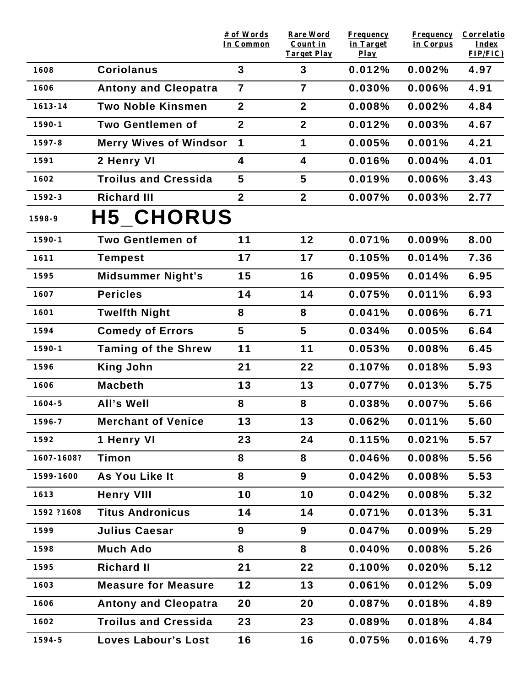|            |                               | # of Words<br>In Common | Rare Word<br>Count in<br><b>Target Play</b> | <b>Frequency</b><br>in Target<br>$Play$ | <b>Frequency</b><br>in Corpus | Correlatio<br>Index<br>FIP/FIC) |
|------------|-------------------------------|-------------------------|---------------------------------------------|-----------------------------------------|-------------------------------|---------------------------------|
| 1608       | <b>Coriolanus</b>             | $\overline{3}$          | 3                                           | 0.012%                                  | 0.002%                        | 4.97                            |
| 1606       | <b>Antony and Cleopatra</b>   | $\overline{7}$          | $\overline{7}$                              | 0.030%                                  | 0.006%                        | 4.91                            |
| 1613-14    | <b>Two Noble Kinsmen</b>      | $\mathbf{2}$            | $\boldsymbol{2}$                            | 0.008%                                  | 0.002%                        | 4.84                            |
| $1590 - 1$ | <b>Two Gentlemen of</b>       | $\overline{2}$          | $\overline{2}$                              | 0.012%                                  | 0.003%                        | 4.67                            |
| $1597 - 8$ | <b>Merry Wives of Windsor</b> | 1                       | 1                                           | 0.005%                                  | 0.001%                        | 4.21                            |
| 1591       | 2 Henry VI                    | 4                       | $\overline{\mathbf{4}}$                     | 0.016%                                  | 0.004%                        | 4.01                            |
| 1602       | <b>Troilus and Cressida</b>   | 5                       | 5                                           | 0.019%                                  | 0.006%                        | 3.43                            |
| 1592-3     | <b>Richard III</b>            | $\overline{2}$          | $\overline{2}$                              | 0.007%                                  | 0.003%                        | 2.77                            |
| 1598-9     | <b>H5 CHORUS</b>              |                         |                                             |                                         |                               |                                 |
| $1590 - 1$ | <b>Two Gentlemen of</b>       | 11                      | 12                                          | 0.071%                                  | 0.009%                        | 8.00                            |
| 1611       | <b>Tempest</b>                | 17                      | 17                                          | 0.105%                                  | 0.014%                        | 7.36                            |
| 1595       | <b>Midsummer Night's</b>      | 15                      | 16                                          | 0.095%                                  | 0.014%                        | 6.95                            |
| 1607       | <b>Pericles</b>               | 14                      | 14                                          | 0.075%                                  | 0.011%                        | 6.93                            |
| 1601       | <b>Twelfth Night</b>          | 8                       | 8                                           | 0.041%                                  | 0.006%                        | 6.71                            |
| 1594       | <b>Comedy of Errors</b>       | 5                       | 5                                           | 0.034%                                  | 0.005%                        | 6.64                            |
| $1590 - 1$ | <b>Taming of the Shrew</b>    | 11                      | 11                                          | 0.053%                                  | 0.008%                        | 6.45                            |
| 1596       | <b>King John</b>              | 21                      | 22                                          | 0.107%                                  | 0.018%                        | 5.93                            |
| 1606       | <b>Macbeth</b>                | 13                      | 13                                          | 0.077%                                  | 0.013%                        | 5.75                            |
| $1604 - 5$ | All's Well                    | 8                       | 8                                           | 0.038%                                  | 0.007%                        | 5.66                            |
| 1596-7     | <b>Merchant of Venice</b>     | 13                      | 13                                          | 0.062%                                  | 0.011%                        | 5.60                            |
| 1592       | 1 Henry VI                    | 23                      | 24                                          | 0.115%                                  | 0.021%                        | 5.57                            |
| 1607-1608? | Timon                         | 8                       | 8                                           | 0.046%                                  | 0.008%                        | 5.56                            |
| 1599-1600  | As You Like It                | 8                       | 9                                           | 0.042%                                  | 0.008%                        | 5.53                            |
| 1613       | <b>Henry VIII</b>             | 10                      | 10                                          | 0.042%                                  | 0.008%                        | 5.32                            |
| 1592 ?1608 | <b>Titus Andronicus</b>       | 14                      | 14                                          | 0.071%                                  | 0.013%                        | 5.31                            |
| 1599       | <b>Julius Caesar</b>          | 9                       | 9                                           | 0.047%                                  | 0.009%                        | 5.29                            |
| 1598       | <b>Much Ado</b>               | 8                       | 8                                           | 0.040%                                  | 0.008%                        | 5.26                            |
| 1595       | <b>Richard II</b>             | 21                      | 22                                          | 0.100%                                  | 0.020%                        | 5.12                            |
| 1603       | <b>Measure for Measure</b>    | 12                      | 13                                          | 0.061%                                  | 0.012%                        | 5.09                            |
| 1606       | <b>Antony and Cleopatra</b>   | 20                      | 20                                          | 0.087%                                  | 0.018%                        | 4.89                            |
| 1602       | <b>Troilus and Cressida</b>   | 23                      | 23                                          | 0.089%                                  | 0.018%                        | 4.84                            |
| 1594-5     | <b>Loves Labour's Lost</b>    | 16                      | 16                                          | 0.075%                                  | 0.016%                        | 4.79                            |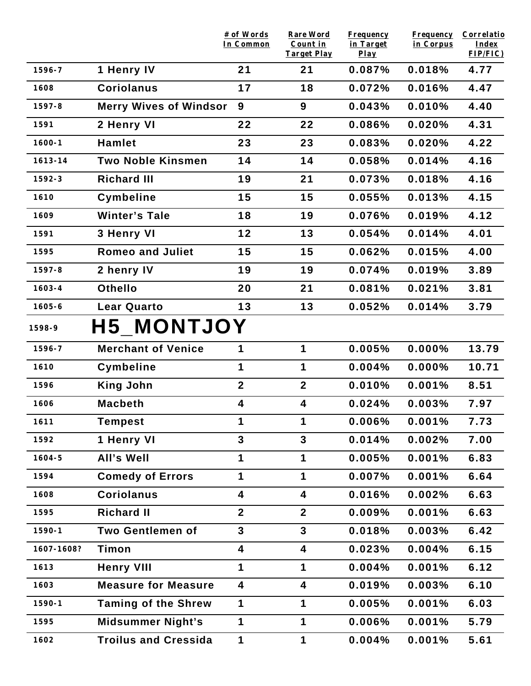|            |                               | # of Words<br>In Common | <b>Rare Word</b><br>Count in<br><b>Target Play</b> | <b>Frequency</b><br>in Target | <b>Frequency</b><br>in Corpus | Correlatio<br>Index<br>FIP/FIC) |
|------------|-------------------------------|-------------------------|----------------------------------------------------|-------------------------------|-------------------------------|---------------------------------|
| 1596-7     | 1 Henry IV                    | 21                      | 21                                                 | $Play$<br>0.087%              | 0.018%                        | 4.77                            |
| 1608       | <b>Coriolanus</b>             | 17                      | 18                                                 | 0.072%                        | 0.016%                        | 4.47                            |
| $1597 - 8$ | <b>Merry Wives of Windsor</b> | 9                       | 9                                                  | 0.043%                        | 0.010%                        | 4.40                            |
| 1591       | 2 Henry VI                    | 22                      | 22                                                 | 0.086%                        | 0.020%                        | 4.31                            |
| $1600 - 1$ | <b>Hamlet</b>                 | 23                      | 23                                                 | 0.083%                        | 0.020%                        | 4.22                            |
| 1613-14    | <b>Two Noble Kinsmen</b>      | 14                      | 14                                                 | 0.058%                        | 0.014%                        | 4.16                            |
| $1592 - 3$ | <b>Richard III</b>            | 19                      | 21                                                 | 0.073%                        | 0.018%                        | 4.16                            |
| 1610       | Cymbeline                     | 15                      | 15                                                 | 0.055%                        | 0.013%                        | 4.15                            |
| 1609       | <b>Winter's Tale</b>          | 18                      | 19                                                 | 0.076%                        | 0.019%                        | 4.12                            |
| 1591       | 3 Henry VI                    | 12                      | 13                                                 | 0.054%                        | 0.014%                        | 4.01                            |
| 1595       | <b>Romeo and Juliet</b>       | 15                      | 15                                                 | 0.062%                        | 0.015%                        | 4.00                            |
| $1597 - 8$ | 2 henry IV                    | 19                      | 19                                                 | 0.074%                        | 0.019%                        | 3.89                            |
| $1603 - 4$ | <b>Othello</b>                | 20                      | 21                                                 | 0.081%                        | 0.021%                        | 3.81                            |
| $1605 - 6$ | <b>Lear Quarto</b>            | 13                      | 13                                                 | 0.052%                        | 0.014%                        | 3.79                            |
|            |                               |                         |                                                    |                               |                               |                                 |
| 1598-9     | <b>H5 MONTJOY</b>             |                         |                                                    |                               |                               |                                 |
| 1596-7     | <b>Merchant of Venice</b>     | 1                       | $\mathbf 1$                                        | 0.005%                        | 0.000%                        | 13.79                           |
| 1610       | <b>Cymbeline</b>              | 1                       | $\mathbf 1$                                        | 0.004%                        | $0.000\%$                     | 10.71                           |
| 1596       | <b>King John</b>              | $\boldsymbol{2}$        | $\overline{2}$                                     | 0.010%                        | 0.001%                        | 8.51                            |
| 1606       | <b>Macbeth</b>                | 4                       | 4                                                  | 0.024%                        | 0.003%                        | 7.97                            |
| 1611       | <b>Tempest</b>                |                         | 1                                                  | 0.006%                        | 0.001%                        | 7.73                            |
| 1592       | 1 Henry VI                    | 3                       | $\overline{3}$                                     | 0.014%                        | 0.002%                        | 7.00                            |
| $1604 - 5$ | All's Well                    | 1                       | 1                                                  | 0.005%                        | 0.001%                        | 6.83                            |
| 1594       | <b>Comedy of Errors</b>       | 1                       | $\mathbf 1$                                        | 0.007%                        | 0.001%                        | 6.64                            |
| 1608       | <b>Coriolanus</b>             | $\overline{\mathbf{4}}$ | $\overline{\mathbf{4}}$                            | 0.016%                        | 0.002%                        | 6.63                            |
| 1595       | <b>Richard II</b>             | $\mathbf{2}$            | $\mathbf{2}$                                       | 0.009%                        | 0.001%                        | 6.63                            |
| $1590 - 1$ | <b>Two Gentlemen of</b>       | $\overline{\mathbf{3}}$ | $\overline{3}$                                     | 0.018%                        | 0.003%                        | 6.42                            |
| 1607-1608? | Timon                         | 4                       | 4                                                  | 0.023%                        | 0.004%                        | 6.15                            |
| 1613       | <b>Henry VIII</b>             | 1                       | $\mathbf 1$                                        | 0.004%                        | 0.001%                        | 6.12                            |
| 1603       | <b>Measure for Measure</b>    | $\overline{\mathbf{4}}$ | 4                                                  | 0.019%                        | 0.003%                        | 6.10                            |
| $1590 - 1$ | <b>Taming of the Shrew</b>    | 1                       | 1                                                  | 0.005%                        | 0.001%                        | 6.03                            |
| 1595       | <b>Midsummer Night's</b>      | 1                       | $\mathbf 1$                                        | 0.006%                        | 0.001%                        | 5.79                            |
| 1602       | <b>Troilus and Cressida</b>   | 1                       | $\mathbf 1$                                        | 0.004%                        | 0.001%                        | 5.61                            |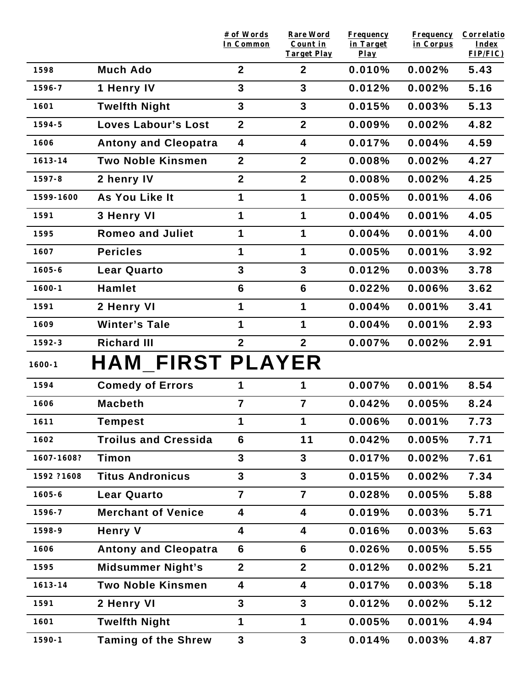|             |                             | # of Words<br>In Common | <b>Rare Word</b><br>Count in       | <b>Frequency</b><br>in Target | <b>Frequency</b><br>in Corpus | Correlatio<br>Index |
|-------------|-----------------------------|-------------------------|------------------------------------|-------------------------------|-------------------------------|---------------------|
| 1598        | <b>Much Ado</b>             | $\overline{2}$          | <b>Target Play</b><br>$\mathbf{2}$ | $Play$<br>0.010%              | 0.002%                        | FIP/FIC)<br>5.43    |
| 1596-7      | 1 Henry IV                  | 3                       | $\mathbf{3}$                       | 0.012%                        | 0.002%                        | 5.16                |
|             |                             | 3                       | $\mathbf{3}$                       |                               |                               |                     |
| 1601        | <b>Twelfth Night</b>        |                         |                                    | 0.015%                        | 0.003%                        | 5.13                |
| 1594-5      | Loves Labour's Lost         | $\boldsymbol{2}$        | $\mathbf{2}$                       | 0.009%                        | 0.002%                        | 4.82                |
| 1606        | <b>Antony and Cleopatra</b> | $\overline{\mathbf{4}}$ | 4                                  | 0.017%                        | 0.004%                        | 4.59                |
| $1613 - 14$ | <b>Two Noble Kinsmen</b>    | $\overline{2}$          | $\overline{2}$                     | 0.008%                        | 0.002%                        | 4.27                |
| 1597-8      | 2 henry IV                  | $\boldsymbol{2}$        | $\mathbf{2}$                       | 0.008%                        | 0.002%                        | 4.25                |
| 1599-1600   | As You Like It              | 1                       | 1                                  | 0.005%                        | 0.001%                        | 4.06                |
| 1591        | 3 Henry VI                  | 1                       | 1                                  | 0.004%                        | 0.001%                        | 4.05                |
| 1595        | <b>Romeo and Juliet</b>     | 1                       | 1                                  | 0.004%                        | 0.001%                        | 4.00                |
| 1607        | <b>Pericles</b>             | 1                       | $\mathbf 1$                        | 0.005%                        | 0.001%                        | 3.92                |
| $1605 - 6$  | <b>Lear Quarto</b>          | 3                       | $\mathbf{3}$                       | 0.012%                        | 0.003%                        | 3.78                |
| $1600 - 1$  | Hamlet                      | 6                       | $6\phantom{1}$                     | 0.022%                        | 0.006%                        | 3.62                |
| 1591        | 2 Henry VI                  | 1                       | 1                                  | 0.004%                        | 0.001%                        | 3.41                |
| 1609        | <b>Winter's Tale</b>        | 1                       | 1                                  | 0.004%                        | 0.001%                        | 2.93                |
| $1592 - 3$  | <b>Richard III</b>          | 2 <sup>1</sup>          | $\overline{2}$                     | 0.007%                        | 0.002%                        | 2.91                |
| $1600 - 1$  | <b>HAM FIRST PLAYER</b>     |                         |                                    |                               |                               |                     |
| 1594        | <b>Comedy of Errors</b>     | 1                       | 1                                  | 0.007%                        | 0.001%                        | 8.54                |
| 1606        | <b>Macbeth</b>              | $\overline{7}$          | $\overline{7}$                     | 0.042%                        | 0.005%                        | 8.24                |
| 1611        | <b>Tempest</b>              | 1                       | 1                                  | $0.006\%$                     | 0.001%                        | 7.73                |
| 1602        | <b>Troilus and Cressida</b> | $6\phantom{1}$          | 11                                 | 0.042%                        | 0.005%                        | 7.71                |
| 1607-1608?  | Timon                       | 3                       | $\overline{\mathbf{3}}$            | 0.017%                        | 0.002%                        | 7.61                |
| 1592 ?1608  | <b>Titus Andronicus</b>     | 3                       | $\mathbf{3}$                       | 0.015%                        | 0.002%                        | 7.34                |
| $1605 - 6$  | <b>Lear Quarto</b>          | $\overline{7}$          | $\overline{7}$                     | 0.028%                        | 0.005%                        | 5.88                |
| 1596-7      | <b>Merchant of Venice</b>   | 4                       | 4                                  | 0.019%                        | 0.003%                        | 5.71                |
| 1598-9      | <b>Henry V</b>              | 4                       | 4                                  | 0.016%                        | 0.003%                        | 5.63                |
| 1606        | <b>Antony and Cleopatra</b> | $6\phantom{1}$          | 6                                  | 0.026%                        | 0.005%                        | 5.55                |
| 1595        | <b>Midsummer Night's</b>    | 2 <sup>1</sup>          | 2 <sup>1</sup>                     | 0.012%                        | 0.002%                        | 5.21                |
| $1613 - 14$ | <b>Two Noble Kinsmen</b>    | 4                       | 4                                  | 0.017%                        | 0.003%                        | 5.18                |
| 1591        | 2 Henry VI                  | 3                       | $\overline{3}$                     | 0.012%                        | 0.002%                        | 5.12                |
| 1601        | <b>Twelfth Night</b>        | 1                       | $\mathbf 1$                        | 0.005%                        | 0.001%                        | 4.94                |
| $1590 - 1$  | <b>Taming of the Shrew</b>  | $\mathbf{3}$            | $\mathbf{3}$                       | 0.014%                        | 0.003%                        | 4.87                |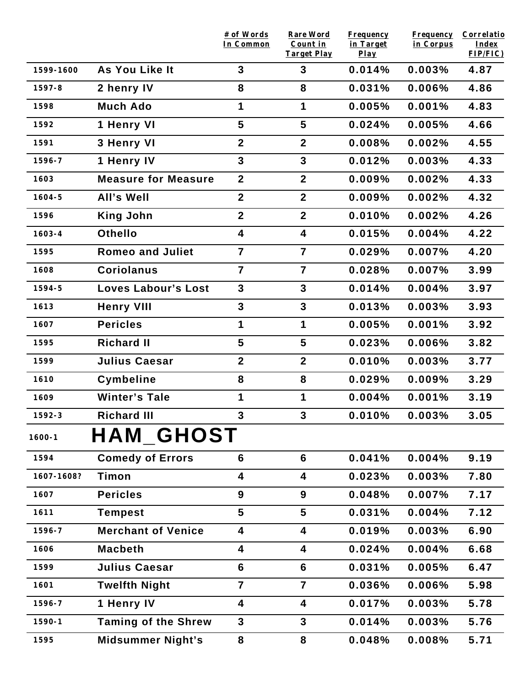|            |                            | # of Words<br>In Common | <b>Rare Word</b><br>Count in | <b>Frequency</b><br>in Target | <b>Frequency</b><br>in Corpus | Correlatio<br>Index |
|------------|----------------------------|-------------------------|------------------------------|-------------------------------|-------------------------------|---------------------|
|            |                            |                         | <b>Target Play</b>           | $Play$                        |                               | FIP/FIC)            |
| 1599-1600  | As You Like It             | $\mathbf{3}$            | 3                            | 0.014%                        | 0.003%                        | 4.87                |
| 1597-8     | 2 henry IV                 | 8                       | 8                            | 0.031%                        | 0.006%                        | 4.86                |
| 1598       | <b>Much Ado</b>            | 1                       | $\mathbf 1$                  | 0.005%                        | 0.001%                        | 4.83                |
| 1592       | 1 Henry VI                 | 5                       | $5\phantom{.0}$              | 0.024%                        | 0.005%                        | 4.66                |
| 1591       | 3 Henry VI                 | $\boldsymbol{2}$        | $\overline{2}$               | 0.008%                        | 0.002%                        | 4.55                |
| 1596-7     | 1 Henry IV                 | $\overline{\mathbf{3}}$ | 3                            | 0.012%                        | 0.003%                        | 4.33                |
| 1603       | <b>Measure for Measure</b> | $\boldsymbol{2}$        | $\mathbf{2}$                 | 0.009%                        | 0.002%                        | 4.33                |
| $1604 - 5$ | All's Well                 | $\mathbf{2}$            | $\mathbf{2}$                 | 0.009%                        | 0.002%                        | 4.32                |
| 1596       | <b>King John</b>           | $\boldsymbol{2}$        | $\mathbf{2}$                 | 0.010%                        | 0.002%                        | 4.26                |
| $1603 - 4$ | <b>Othello</b>             | 4                       | $\overline{\mathbf{4}}$      | 0.015%                        | 0.004%                        | 4.22                |
| 1595       | <b>Romeo and Juliet</b>    | $\overline{7}$          | $\overline{7}$               | 0.029%                        | 0.007%                        | 4.20                |
| 1608       | <b>Coriolanus</b>          | $\overline{7}$          | $\overline{7}$               | 0.028%                        | 0.007%                        | 3.99                |
| 1594-5     | <b>Loves Labour's Lost</b> | $\mathbf{3}$            | $\mathbf{3}$                 | 0.014%                        | 0.004%                        | 3.97                |
| 1613       | <b>Henry VIII</b>          | $\mathbf{3}$            | $\mathbf{3}$                 | 0.013%                        | 0.003%                        | 3.93                |
| 1607       | <b>Pericles</b>            | 1                       | $\mathbf 1$                  | 0.005%                        | 0.001%                        | 3.92                |
| 1595       | <b>Richard II</b>          | 5                       | $5\phantom{1}$               | 0.023%                        | 0.006%                        | 3.82                |
| 1599       | <b>Julius Caesar</b>       | $\boldsymbol{2}$        | $\mathbf{2}$                 | 0.010%                        | 0.003%                        | 3.77                |
| 1610       | Cymbeline                  | 8                       | 8                            | 0.029%                        | 0.009%                        | 3.29                |
| 1609       | <b>Winter's Tale</b>       | 1                       | $\mathbf 1$                  | 0.004%                        | 0.001%                        | 3.19                |
| $1592 - 3$ | <b>Richard III</b>         | $\mathbf{3}$            | 3                            | 0.010%                        | 0.003%                        | 3.05                |
| $1600 - 1$ | HAM_GHOST                  |                         |                              |                               |                               |                     |
| 1594       | <b>Comedy of Errors</b>    | $6\phantom{1}6$         | 6                            | 0.041%                        | 0.004%                        | 9.19                |
| 1607-1608? | Timon                      | 4                       | $\overline{\mathbf{4}}$      | 0.023%                        | 0.003%                        | 7.80                |
| 1607       | <b>Pericles</b>            | 9                       | 9                            | 0.048%                        | 0.007%                        | 7.17                |
| 1611       | <b>Tempest</b>             | 5                       | $5\phantom{1}$               | 0.031%                        | 0.004%                        | 7.12                |
| 1596-7     | <b>Merchant of Venice</b>  | 4                       | 4                            | 0.019%                        | 0.003%                        | 6.90                |
| 1606       | <b>Macbeth</b>             | 4                       | $\overline{\mathbf{4}}$      | 0.024%                        | 0.004%                        | 6.68                |
| 1599       | <b>Julius Caesar</b>       | 6                       | 6                            | 0.031%                        | 0.005%                        | 6.47                |
| 1601       | <b>Twelfth Night</b>       | $\overline{7}$          | $\overline{7}$               | 0.036%                        | 0.006%                        | 5.98                |
| 1596-7     | 1 Henry IV                 | 4                       | 4                            | 0.017%                        | 0.003%                        | 5.78                |
| 1590-1     | <b>Taming of the Shrew</b> | 3                       | $\mathbf{3}$                 | 0.014%                        | 0.003%                        | 5.76                |
| 1595       | <b>Midsummer Night's</b>   | 8                       | 8                            | 0.048%                        | 0.008%                        | 5.71                |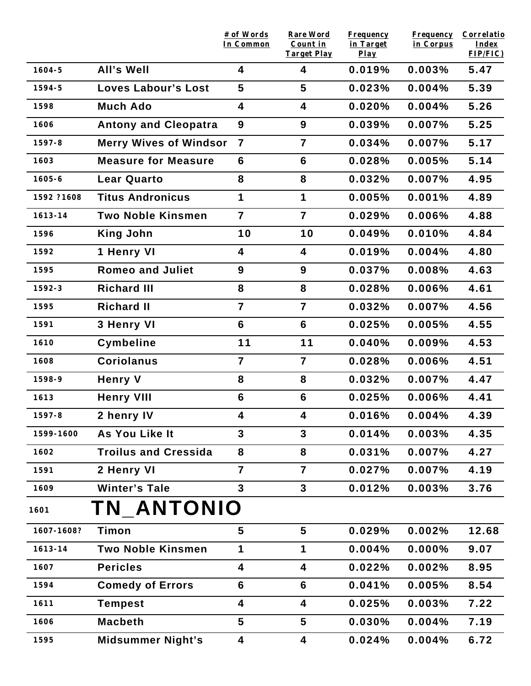|             |                               | # of Words<br>In Common | <b>Rare Word</b><br>Count in | <b>Frequency</b><br>in Target | <b>Frequency</b><br>in Corpus | Correlatio<br>Index |
|-------------|-------------------------------|-------------------------|------------------------------|-------------------------------|-------------------------------|---------------------|
|             |                               |                         | <b>Target Play</b>           | $Play$                        |                               | FIP/FIC)            |
| $1604 - 5$  | All's Well                    | 4                       | 4                            | 0.019%                        | 0.003%                        | 5.47                |
| 1594-5      | <b>Loves Labour's Lost</b>    | 5                       | 5                            | 0.023%                        | 0.004%                        | 5.39                |
| 1598        | <b>Much Ado</b>               | 4                       | 4                            | 0.020%                        | 0.004%                        | 5.26                |
| 1606        | <b>Antony and Cleopatra</b>   | 9                       | 9                            | 0.039%                        | 0.007%                        | 5.25                |
| $1597 - 8$  | <b>Merry Wives of Windsor</b> | $\overline{7}$          | $\overline{7}$               | 0.034%                        | 0.007%                        | 5.17                |
| 1603        | <b>Measure for Measure</b>    | 6                       | $6\phantom{1}$               | 0.028%                        | 0.005%                        | 5.14                |
| $1605 - 6$  | <b>Lear Quarto</b>            | 8                       | 8                            | 0.032%                        | 0.007%                        | 4.95                |
| 1592 ?1608  | <b>Titus Andronicus</b>       | 1                       | $\mathbf 1$                  | 0.005%                        | 0.001%                        | 4.89                |
| 1613-14     | <b>Two Noble Kinsmen</b>      | $\overline{7}$          | $\overline{7}$               | 0.029%                        | 0.006%                        | 4.88                |
| 1596        | <b>King John</b>              | 10                      | 10                           | 0.049%                        | 0.010%                        | 4.84                |
| 1592        | 1 Henry VI                    | 4                       | $\overline{\mathbf{4}}$      | 0.019%                        | 0.004%                        | 4.80                |
| 1595        | <b>Romeo and Juliet</b>       | 9                       | 9                            | 0.037%                        | 0.008%                        | 4.63                |
| $1592 - 3$  | <b>Richard III</b>            | 8                       | 8                            | 0.028%                        | 0.006%                        | 4.61                |
| 1595        | <b>Richard II</b>             | $\overline{7}$          | $\overline{7}$               | 0.032%                        | 0.007%                        | 4.56                |
| 1591        | 3 Henry VI                    | $6\phantom{1}$          | $6\phantom{1}$               | 0.025%                        | 0.005%                        | 4.55                |
| 1610        | Cymbeline                     | 11                      | 11                           | 0.040%                        | 0.009%                        | 4.53                |
| 1608        | <b>Coriolanus</b>             | $\overline{7}$          | $\overline{7}$               | 0.028%                        | 0.006%                        | 4.51                |
| 1598-9      | <b>Henry V</b>                | 8                       | 8                            | 0.032%                        | 0.007%                        | 4.47                |
| 1613        | <b>Henry VIII</b>             | 6                       | $6\phantom{1}$               | 0.025%                        | 0.006%                        | 4.41                |
| 1597-8      | 2 henry IV                    | 4                       | 4                            | 0.016%                        | 0.004%                        | 4.39                |
| 1599-1600   | As You Like It                | $\mathbf{3}$            | $\mathbf{3}$                 | 0.014%                        | 0.003%                        | 4.35                |
| 1602        | <b>Troilus and Cressida</b>   | 8                       | 8                            | 0.031%                        | 0.007%                        | 4.27                |
| 1591        | 2 Henry VI                    | $\overline{7}$          | $\overline{7}$               | 0.027%                        | 0.007%                        | 4.19                |
| 1609        | <b>Winter's Tale</b>          | $\mathbf{3}$            | 3                            | 0.012%                        | 0.003%                        | 3.76                |
| 1601        | TN ANTONIO                    |                         |                              |                               |                               |                     |
| 1607-1608?  | Timon                         | 5                       | 5                            | 0.029%                        | 0.002%                        | 12.68               |
| $1613 - 14$ | <b>Two Noble Kinsmen</b>      | 1                       | 1                            | 0.004%                        | 0.000%                        | 9.07                |
| 1607        | <b>Pericles</b>               | 4                       | 4                            | 0.022%                        | 0.002%                        | 8.95                |
| 1594        | <b>Comedy of Errors</b>       | $6\phantom{1}6$         | 6                            | 0.041%                        | 0.005%                        | 8.54                |
| 1611        | <b>Tempest</b>                | 4                       | 4                            | 0.025%                        | 0.003%                        | 7.22                |
| 1606        | <b>Macbeth</b>                | 5                       | $5\phantom{1}$               | 0.030%                        | 0.004%                        | 7.19                |
| 1595        | <b>Midsummer Night's</b>      | 4                       | 4                            | 0.024%                        | 0.004%                        | 6.72                |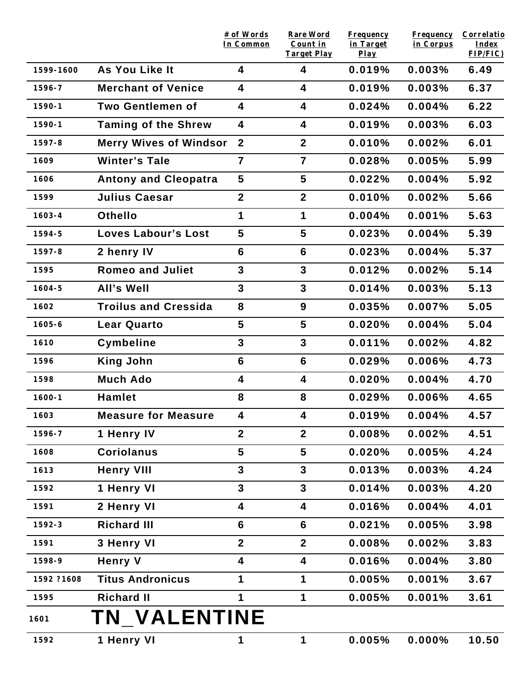|            |                               | # of Words<br>In Common | <b>Rare Word</b><br>Count in | <b>Frequency</b><br>in Target | <b>Frequency</b><br>in Corpus | Correlatio<br>Index |
|------------|-------------------------------|-------------------------|------------------------------|-------------------------------|-------------------------------|---------------------|
| 1599-1600  | As You Like It                | 4                       | <b>Target Play</b><br>4      | $Play$<br>0.019%              | 0.003%                        | FIP/FIC)<br>6.49    |
| 1596-7     | <b>Merchant of Venice</b>     | 4                       | $\overline{\mathbf{4}}$      | 0.019%                        | 0.003%                        | 6.37                |
| $1590 - 1$ | <b>Two Gentlemen of</b>       | 4                       | 4                            |                               | 0.004%                        |                     |
|            |                               |                         |                              | 0.024%                        |                               | 6.22                |
| $1590 - 1$ | <b>Taming of the Shrew</b>    | $\overline{\mathbf{4}}$ | 4                            | 0.019%                        | 0.003%                        | 6.03                |
| $1597 - 8$ | <b>Merry Wives of Windsor</b> | $\overline{2}$          | $\overline{2}$               | 0.010%                        | 0.002%                        | 6.01                |
| 1609       | <b>Winter's Tale</b>          | $\overline{7}$          | $\overline{7}$               | 0.028%                        | 0.005%                        | 5.99                |
| 1606       | <b>Antony and Cleopatra</b>   | 5                       | 5                            | 0.022%                        | 0.004%                        | 5.92                |
| 1599       | <b>Julius Caesar</b>          | $\overline{2}$          | $\overline{2}$               | 0.010%                        | 0.002%                        | 5.66                |
| $1603 - 4$ | <b>Othello</b>                | 1                       | 1                            | 0.004%                        | 0.001%                        | 5.63                |
| $1594 - 5$ | <b>Loves Labour's Lost</b>    | 5                       | 5                            | 0.023%                        | 0.004%                        | 5.39                |
| $1597 - 8$ | 2 henry IV                    | 6                       | $6\phantom{1}$               | 0.023%                        | 0.004%                        | 5.37                |
| 1595       | <b>Romeo and Juliet</b>       | $\mathbf{3}$            | $\mathbf{3}$                 | 0.012%                        | 0.002%                        | 5.14                |
| $1604 - 5$ | <b>All's Well</b>             | 3                       | $\overline{3}$               | 0.014%                        | 0.003%                        | 5.13                |
| 1602       | <b>Troilus and Cressida</b>   | 8                       | 9                            | 0.035%                        | 0.007%                        | 5.05                |
| $1605 - 6$ | <b>Lear Quarto</b>            | 5                       | 5                            | 0.020%                        | 0.004%                        | 5.04                |
| 1610       | <b>Cymbeline</b>              | $\mathbf{3}$            | $\mathbf{3}$                 | 0.011%                        | 0.002%                        | 4.82                |
| 1596       | <b>King John</b>              | $6\phantom{1}$          | $6\phantom{1}$               | 0.029%                        | 0.006%                        | 4.73                |
| 1598       | <b>Much Ado</b>               | 4                       | 4                            | 0.020%                        | 0.004%                        | 4.70                |
| $1600 - 1$ | <b>Hamlet</b>                 | 8                       | 8                            | 0.029%                        | 0.006%                        | 4.65                |
| 1603       | <b>Measure for Measure</b>    | 4                       | 4                            | 0.019%                        | 0.004%                        | 4.57                |
| 1596-7     | 1 Henry IV                    | $\overline{2}$          | 2 <sup>1</sup>               | 0.008%                        | 0.002%                        | 4.51                |
| 1608       | <b>Coriolanus</b>             | 5                       | 5                            | 0.020%                        | 0.005%                        | 4.24                |
| 1613       | <b>Henry VIII</b>             | 3                       | 3                            | 0.013%                        | 0.003%                        | 4.24                |
| 1592       | 1 Henry VI                    | 3                       | $\mathbf{3}$                 | 0.014%                        | 0.003%                        | 4.20                |
| 1591       | 2 Henry VI                    | 4                       | 4                            | 0.016%                        | 0.004%                        | 4.01                |
| 1592-3     | <b>Richard III</b>            | 6                       | 6                            | 0.021%                        | 0.005%                        | 3.98                |
| 1591       | 3 Henry VI                    | $\mathbf{2}$            | $\overline{2}$               | 0.008%                        | 0.002%                        | 3.83                |
| 1598-9     | <b>Henry V</b>                | 4                       | 4                            | 0.016%                        | 0.004%                        | 3.80                |
| 1592 ?1608 | <b>Titus Andronicus</b>       | 1                       | 1                            | 0.005%                        | 0.001%                        | 3.67                |
| 1595       | <b>Richard II</b>             | 1                       | $\mathbf 1$                  | 0.005%                        | 0.001%                        | 3.61                |
| 1601       | <b>TN_VALENTINE</b>           |                         |                              |                               |                               |                     |
| 1592       | 1 Henry VI                    | 1                       | 1                            | 0.005%                        | 0.000%                        | 10.50               |